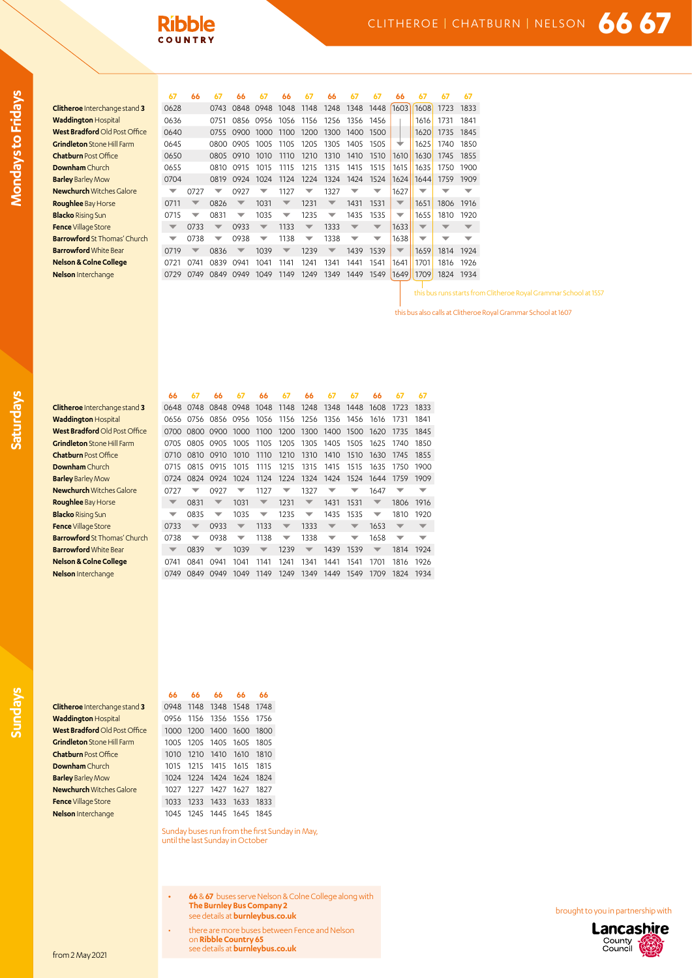## **Ribble COUNTRY**

Mondays to Fridays **Mondays to Fridays**

| 0628 |      | 0743 |      | 0948                     |                        |
|------|------|------|------|--------------------------|------------------------|
| 0636 |      | 0751 | 0856 | 0956                     |                        |
| 0640 |      |      |      |                          |                        |
| 0645 |      | 0800 | 0905 | 1005                     |                        |
| 0650 |      |      |      | 1010                     |                        |
| 0655 |      | 0810 | 0915 | 1015                     |                        |
| 0704 |      | 0819 | 0924 | 1024                     |                        |
|      | 0727 |      | 0927 |                          |                        |
| 0711 |      | 0826 |      | 1031                     |                        |
| 0715 |      | 0831 |      | 1035                     |                        |
|      | 0733 |      | 0933 | $\blacktriangledown$     |                        |
|      | 0738 |      | 0938 | $\overline{\phantom{0}}$ |                        |
| 0719 |      | 0836 |      | 1039                     |                        |
| 0721 | 0741 | 0839 | 0941 | 1041                     |                        |
| 0729 | 0749 | 0849 | 0949 | 1049                     |                        |
|      |      |      |      | 0805 0910                | 0848<br>0755 0900 1000 |

|                                      | 67                       | 66   | 67                       | 66   | 67                       | 66   | 67                       | 66   |                          | 67                       | 66                       | 67                       | 67   | 67   |
|--------------------------------------|--------------------------|------|--------------------------|------|--------------------------|------|--------------------------|------|--------------------------|--------------------------|--------------------------|--------------------------|------|------|
| <b>Clitheroe</b> Interchange stand 3 | 0628                     |      | 0743                     | 0848 | 0948                     | 1048 | 1148                     | 1248 | 1348                     | 1448                     | 1603                     | 1608                     | 1723 | 1833 |
| <b>Waddington Hospital</b>           | 0636                     |      | 0751                     | 0856 | 0956                     | 1056 | 1156                     | 1256 | 1356                     | 1456                     |                          | 1616                     | 1731 | 1841 |
| West Bradford Old Post Office        | 0640                     |      | 0755                     | 0900 | 1000                     | 1100 | 1200                     | 1300 | 1400                     | 1500                     |                          | 1620                     | 1735 | 1845 |
| <b>Grindleton</b> Stone Hill Farm    | 0645                     |      | <b>0800</b>              | 0905 | 1005                     | 1105 | 1205                     | 1305 | 1405                     | 1505                     | ▼                        | 1625                     | 1740 | 1850 |
| <b>Chatburn</b> Post Office          | 0650                     |      | 0805                     | 0910 | 1010                     | 1110 | 1210                     | 1310 | 1410                     | 1510                     | 1610                     | 1630                     | 1745 | 1855 |
| <b>Downham</b> Church                | 0655                     |      | 0810                     | 0915 | 1015                     | 1115 | 1215                     | 1315 | 1415                     | 1515                     | 1615                     | 1635                     | 1750 | 1900 |
| <b>Barley Barley Mow</b>             | 0704                     |      | 0819                     | 0924 | 1024                     | 1124 | 1224                     | 1324 | 1424                     | 1524                     | 1624                     | 1644                     | 1759 | 1909 |
| <b>Newchurch</b> Witches Galore      |                          | 0727 |                          | 0927 |                          | 1127 |                          | 1327 |                          | ▼                        | 1627                     | ▼                        |      |      |
| <b>Roughlee</b> Bay Horse            | 0711                     | ▼    | 0826                     | ▼    | 1031                     | ▼    | 1231                     | ▼    | 1431                     | 1531                     | $\overline{\phantom{a}}$ | 1651                     | 1806 | 1916 |
| <b>Blacko</b> Rising Sun             | 0715                     | ▽    | 0831                     | ▼    | 1035                     | ▼    | 1235                     | ▼    | 1435                     | 1535                     | $\overline{\phantom{0}}$ | 1655                     | 1810 | 1920 |
| Fence Village Store                  | $\overline{\phantom{a}}$ | 0733 | $\overline{\phantom{a}}$ | 0933 | ▼                        | 1133 | ▼                        | 1333 | ▼                        | ▼                        | 1633                     | $\overline{\phantom{a}}$ |      |      |
| <b>Barrowford</b> St Thomas' Church  | $\overline{\phantom{0}}$ | 0738 | $\overline{\phantom{0}}$ | 0938 | $\overline{\phantom{0}}$ | 1138 | $\overline{\phantom{a}}$ | 1338 | $\overline{\phantom{0}}$ | $\overline{\phantom{0}}$ | 1638                     | $\overline{\phantom{0}}$ |      |      |
| <b>Barrowford</b> White Bear         | 0719                     |      | 0836                     | ▼    | 1039                     |      | 1239                     |      | 1439                     | 1539                     | $\overline{\phantom{a}}$ | 1659                     | 1814 | 1924 |
| Nelson & Colne College               | 0721                     | 0741 | 0839                     | 0941 | 1041                     | 1141 | 1241                     | 1341 | 1441                     | 1541                     | 1641                     | 1701                     | 1816 | 1926 |
| Nelson Interchange                   | 0729                     | 0749 | 0849                     | 0949 | 1049                     | 1149 | 1249                     | 1349 | 1449                     | 1549                     | 1649                     | 1709                     | 1824 | 1934 |

this bus runs starts from Clitheroe Royal Grammar School at 1557

this bus also calls at Clitheroe Royal Grammar School at 1607

|                                      | 66   | 67          | 66   | 67   | 66   | 67                       | 66                       | 67                       | 67   | 66   | 67   | 67                       |
|--------------------------------------|------|-------------|------|------|------|--------------------------|--------------------------|--------------------------|------|------|------|--------------------------|
| <b>Clitheroe</b> Interchange stand 3 | 0648 | 0748        | 0848 | 0948 | 1048 | 1148                     | 1248                     | 1348                     | 1448 | 1608 | 1723 | 1833                     |
| <b>Waddington Hospital</b>           | 0656 | 0756        | 0856 | 0956 | 1056 | 1156                     | 1256                     | 1356                     | 1456 | 1616 | 1731 | 1841                     |
| <b>West Bradford Old Post Office</b> | 0700 | 0800        | 0900 | 1000 | 1100 | 1200                     | 1300                     | 1400                     | 1500 | 1620 | 1735 | 1845                     |
| <b>Grindleton</b> Stone Hill Farm    | 0705 | 0805        | 0905 | 1005 | 1105 | 1205                     | 1305                     | 1405                     | 1505 | 1625 | 1740 | 1850                     |
| <b>Chatburn</b> Post Office          | 0710 | <b>0810</b> | 0910 | 1010 | 1110 | 1210                     | 1310                     | 1410                     | 1510 | 1630 | 1745 | 1855                     |
| Downham Church                       | 0715 | 0815        | 0915 | 1015 | 1115 | 1215                     | 1315                     | 1415                     | 1515 | 1635 | 1750 | 1900                     |
| <b>Barley Barley Mow</b>             | 0724 | 0824        | 0924 | 1024 | 1124 | 1224                     | 1324                     | 1424                     | 1524 | 1644 | 1759 | 1909                     |
| <b>Newchurch</b> Witches Galore      | 0727 | ▽           | 0927 |      | 1127 | ▼                        | 1327                     | ▼                        |      | 1647 | ▼    | ▼                        |
| <b>Roughlee Bay Horse</b>            |      | 0831        | ▼    | 1031 | ▼    | 1231                     | $\overline{\phantom{a}}$ | 1431                     | 1531 | ▼    | 1806 | 1916                     |
| <b>Blacko</b> Rising Sun             | ▼    | 0835        | ▼    | 1035 | ▼    | 1235                     | ▼                        | 1435                     | 1535 |      | 1810 | 1920                     |
| <b>Fence Village Store</b>           | 0733 | ▼           | 0933 |      | 1133 | $\overline{\phantom{a}}$ | 1333                     | ▼                        |      | 1653 | ▼    | $\overline{\phantom{a}}$ |
| <b>Barrowford</b> St Thomas' Church  | 0738 | ▼           | 0938 | ▼    | 1138 | $\overline{\phantom{0}}$ | 1338                     | $\overline{\phantom{0}}$ |      | 1658 | ▽    | $\overline{\phantom{0}}$ |
| <b>Barrowford White Bear</b>         |      | 0839        |      | 1039 | ▼    | 1239                     | ▼                        | 1439                     | 1539 | ▼    | 1814 | 1924                     |
| <b>Nelson &amp; Colne College</b>    | 0741 | 0841        | 0941 | 1041 | 1141 | 1241                     | 1341                     | 1441                     | 1541 | 1701 | 1816 | 1926                     |
| <b>Nelson</b> Interchange            | 0749 | 0849        | 0949 | 1049 | 1149 | 1249                     | 1349                     | 1449                     | 1549 | 1709 | 1824 | 1934                     |

**Sundays**

| <b>Waddington Hospital</b>           |
|--------------------------------------|
| <b>West Bradford</b> Old Post Office |
| Grindleton Stone Hill Farm           |
| <b>Chatburn</b> Post Office          |
| <b>Downham</b> Church                |
| <b>Barley Barley Mow</b>             |
| <b>Newchurch</b> Witches Galore      |
| Fence Village Store                  |
| Nelson Interchange                   |
|                                      |

**66 66 66 66 66 Clitheroe** Interchange stand **3** 0948 1148 1348 1548 1748 0956 1156 1356 1556 1756 **West Bradford** Old Post Office 1000 1200 1400 1600 1800 **Grindleton** Stone Hill Farm 1005 1205 1405 1605 1805 **Chatburn** Post Office 1010 1210 1410 1610 1810 **Downham** Church 1015 1215 1415 1615 1815 **Barley** Barley Mow 1024 1224 1424 1624 1824 **Newchurch** Witches Galore 1027 1227 1427 1627 1827 **Fence** Village Store 1033 1233 1433 1633 1833 **Nelson** Interchange 1045 1245 1445 1645 1845

> Sunday buses run from the first Sunday in May, until the last Sunday in October

**• 66** & **67** buses serve Nelson & Colne College along with **The Burnley Bus Company 2** see details at **burnleybus.co.uk** 

• there are more buses between Fence and Nelson on **Ribble Country 65** see details at **burnleybus.co.uk**

brought to you in partnership with